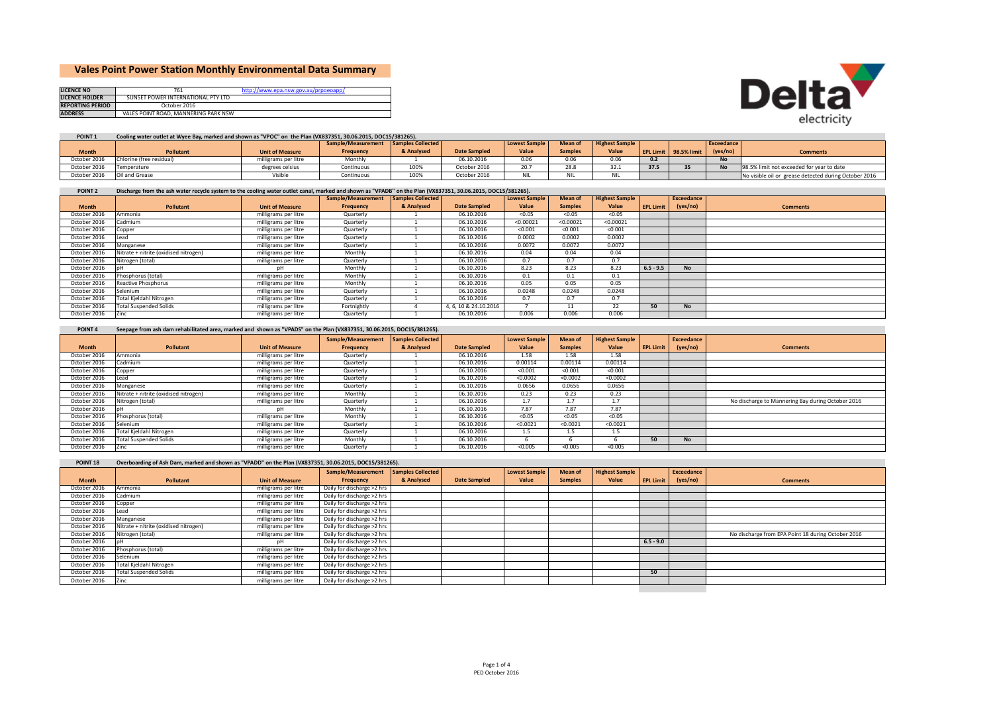# **Vales Point Power Station Monthly Environmental Data Summary**

| <b>LICENCE NO</b>       |                                      | http://www.epa.nsw.gov.au/prpoeoapp/ |
|-------------------------|--------------------------------------|--------------------------------------|
| <b>LICENCE HOLDER</b>   | SUNSET POWER INTERNATIONAL PTY LTD   |                                      |
| <b>REPORTING PERIOD</b> | October 2016                         |                                      |
| <b>ADDRESS</b>          | VALES POINT ROAD, MANNERING PARK NSW |                                      |



| POINT <sub>1</sub> | Cooling water outlet at Wyee Bay, marked and shown as "VPOC" on the Plan (VX837351, 30.06.2015, DOC15/381265). |                        |                                      |            |                     |                      |                      |                       |      |                       |                |                                                       |
|--------------------|----------------------------------------------------------------------------------------------------------------|------------------------|--------------------------------------|------------|---------------------|----------------------|----------------------|-----------------------|------|-----------------------|----------------|-------------------------------------------------------|
|                    |                                                                                                                |                        | Sample/Measurement Samples Collected |            |                     | <b>Lowest Sample</b> | Mean of              | <b>Highest Sample</b> |      |                       | Exceedance     |                                                       |
| <b>Month</b>       | <b>Pollutant</b>                                                                                               | <b>Unit of Measure</b> | <b>Frequency</b>                     | & Analysed | <b>Date Sampled</b> | Value                | <b>Samples</b>       | Value                 |      | EPL Limit 98.5% limit | (yes/no)       | <b>Comments</b>                                       |
| October 2016       | Chlorine (free residual)                                                                                       | milligrams per litre   | Monthly                              |            | 06.10.2016          | 0.06                 | 0.06                 | 0.06                  | 0.2  |                       | <b>No</b>      |                                                       |
| October 2016       | Temperature                                                                                                    | degrees celsius        | Continuous                           | 100%       | October 2016        | 20.7                 | 28.8                 | 32.1                  | 37.5 |                       | M <sub>a</sub> | 98.5% limit not exceeded for year to date             |
| October 2016       | Oil and Grease                                                                                                 | Visible                | Continuous                           | 100%       | October 2016        | ALL.<br>. זו צו      | ALL L<br><b>INIL</b> | <b>NIL</b>            |      |                       |                | No visible oil or grease detected during October 2016 |

| POINT <sub>2</sub> | Discharge from the ash water recycle system to the cooling water outlet canal, marked and shown as "VPADB" on the Plan (VX837351, 30.06.2015, DOC15/381265). |                        |                                      |            |                     |                      |                |                       |                  |            |                 |  |  |
|--------------------|--------------------------------------------------------------------------------------------------------------------------------------------------------------|------------------------|--------------------------------------|------------|---------------------|----------------------|----------------|-----------------------|------------------|------------|-----------------|--|--|
|                    |                                                                                                                                                              |                        | Sample/Measurement Samples Collected |            |                     | <b>Lowest Sample</b> | Mean of        | <b>Highest Sample</b> |                  | Exceedance |                 |  |  |
| <b>Month</b>       | <b>Pollutant</b>                                                                                                                                             | <b>Unit of Measure</b> | Frequency                            | & Analysed | <b>Date Sampled</b> | Value                | <b>Samples</b> | Value                 | <b>EPL Limit</b> | (yes/no)   | <b>Comments</b> |  |  |
| October 2016       | Ammonia                                                                                                                                                      | milligrams per litre   | Quarterly                            |            | 06.10.2016          | < 0.05               | < 0.05         | < 0.05                |                  |            |                 |  |  |
| October 2016       | Cadmium                                                                                                                                                      | milligrams per litre   | Quarterly                            |            | 06.10.2016          | < 0.00021            | < 0.00021      | < 0.00021             |                  |            |                 |  |  |
| October 2016       | Copper                                                                                                                                                       | milligrams per litre   | Quarterly                            |            | 06.10.2016          | < 0.001              | < 0.001        | < 0.001               |                  |            |                 |  |  |
| October 2016       | ead                                                                                                                                                          | milligrams per litre   | Quarterly                            |            | 06.10.2016          | 0.0002               | 0.0002         | 0.0002                |                  |            |                 |  |  |
| October 2016       | Manganese                                                                                                                                                    | milligrams per litre   | Quarterly                            |            | 06.10.2016          | 0.0072               | 0.0072         | 0.0072                |                  |            |                 |  |  |
| October 2016       | Nitrate + nitrite (oxidised nitrogen)                                                                                                                        | milligrams per litre   | Monthly                              |            | 06.10.2016          | 0.04                 | 0.04           | 0.04                  |                  |            |                 |  |  |
| October 2016       | Nitrogen (total)                                                                                                                                             | milligrams per litre   | Quarterly                            |            | 06.10.2016          | 0.7                  | 0.7            | 0.7                   |                  |            |                 |  |  |
| October 2016       |                                                                                                                                                              | nН                     | Monthly                              |            | 06.10.2016          | 8.23                 | 8.23           | 8.23                  | $6.5 - 9.5$      | <b>No</b>  |                 |  |  |
| October 2016       | Phosphorus (total)                                                                                                                                           | milligrams per litre   | Monthly                              |            | 06.10.2016          | 0.1                  | 0.1            | 0.1                   |                  |            |                 |  |  |
| October 2016       | Reactive Phosphorus                                                                                                                                          | milligrams per litre   | Monthly                              |            | 06.10.2016          | 0.05                 | 0.05           | 0.05                  |                  |            |                 |  |  |
| October 2016       | Selenium                                                                                                                                                     | milligrams per litre   | Quarterly                            |            | 06.10.2016          | 0.0248               | 0.0248         | 0.0248                |                  |            |                 |  |  |
| October 2016       | Total Kjeldahl Nitrogen                                                                                                                                      | milligrams per litre   | Quarterly                            |            | 06.10.2016          | 0.7                  | 0.7            | 0.7                   |                  |            |                 |  |  |
| October 2016       | <b>Total Suspended Solids</b>                                                                                                                                | milligrams per litre   | Fortnightly                          |            | 4.6.10 & 24.10.2016 |                      | 11             | 22                    | 50               | <b>No</b>  |                 |  |  |
| October 2016       | Zinc                                                                                                                                                         | milligrams per litre   | Quarterly                            |            | 06.10.2016          | 0.006                | 0.006          | 0.006                 |                  |            |                 |  |  |

| <b>POINT 4</b> |  | Seepage from ash dam rehabilitated area, marked and shown as "VPADS" on the Plan (VX837351, 30.06.2015, DOC15/381265). |
|----------------|--|------------------------------------------------------------------------------------------------------------------------|
|----------------|--|------------------------------------------------------------------------------------------------------------------------|

|              |                                       |                        | Sample/Measurement | Samples Collected |                     | <b>Lowest Sample</b> | Mean of        | <b>Highest Sample</b> |                  | Exceedance |                                                   |
|--------------|---------------------------------------|------------------------|--------------------|-------------------|---------------------|----------------------|----------------|-----------------------|------------------|------------|---------------------------------------------------|
| <b>Month</b> | Pollutant                             | <b>Unit of Measure</b> | Frequency          | & Analysed        | <b>Date Sampled</b> | Value                | <b>Samples</b> | Value                 | <b>EPL Limit</b> | (yes/no)   | <b>Comments</b>                                   |
| October 2016 | Ammonia                               | milligrams per litre   | Quarterly          |                   | 06.10.2016          | 1.58                 | 1.58           | 1.58                  |                  |            |                                                   |
| October 2016 | Cadmium                               | milligrams per litre   | Quarterly          |                   | 06.10.2016          | 0.00114              | 0.00114        | 0.00114               |                  |            |                                                   |
| October 2016 | Copper                                | milligrams per litre   | Quarterly          |                   | 06.10.2016          | < 0.001              | < 0.001        | < 0.001               |                  |            |                                                   |
| October 2016 | ead                                   | milligrams per litre   | Quarterly          |                   | 06.10.2016          | < 0.0002             | < 0.0002       | < 0.0002              |                  |            |                                                   |
| October 2016 | Manganese                             | milligrams per litre   | Quarterly          |                   | 06.10.2016          | 0.0656               | 0.0656         | 0.0656                |                  |            |                                                   |
| October 2016 | Nitrate + nitrite (oxidised nitrogen) | milligrams per litre   | Monthly            |                   | 06.10.2016          | 0.23                 | 0.23           | 0.23                  |                  |            |                                                   |
| October 2016 | Nitrogen (total)                      | milligrams per litre   | Quarterly          |                   | 06.10.2016          | 1.7                  | 1.7            | 1.7                   |                  |            | No discharge to Mannering Bay during October 2016 |
| October 2016 |                                       | pН                     | Monthly            |                   | 06.10.2016          | 7.87                 | 7.87           | 7.87                  |                  |            |                                                   |
| October 2016 | Phosphorus (total)                    | milligrams per litre   | Monthly            |                   | 06.10.2016          | < 0.05               | < 0.05         | < 0.05                |                  |            |                                                   |
| October 2016 | Selenium                              | milligrams per litre   | Quarterly          |                   | 06.10.2016          | < 0.0021             | < 0.0021       | < 0.0021              |                  |            |                                                   |
| October 2016 | Total Kjeldahl Nitrogen               | milligrams per litre   | Quarterly          |                   | 06.10.2016          | 1.5                  | 1.5            | 1.5                   |                  |            |                                                   |
| October 2016 | <b>Total Suspended Solids</b>         | milligrams per litre   | Monthly            |                   | 06.10.2016          |                      |                |                       | 50               | <b>No</b>  |                                                   |
| October 2016 | Zinc                                  | milligrams per litre   | Quarterly          |                   | 06.10.2016          | < 0.005              | < 0.005        | < 0.005               |                  |            |                                                   |

| POINT <sub>18</sub> | Overboarding of Ash Dam, marked and shown as "VPADD" on the Plan (VX837351, 30.06.2015, DOC15/381265). |  |  |
|---------------------|--------------------------------------------------------------------------------------------------------|--|--|
|---------------------|--------------------------------------------------------------------------------------------------------|--|--|

|              |                                       |                        | Sample/Measurement         | Samples Collected |                     | <b>Lowest Sample</b> | Mean of        | <b>Highest Sample</b> |                  | Exceedance |                                                    |
|--------------|---------------------------------------|------------------------|----------------------------|-------------------|---------------------|----------------------|----------------|-----------------------|------------------|------------|----------------------------------------------------|
| <b>Month</b> | <b>Pollutant</b>                      | <b>Unit of Measure</b> | Frequency                  | & Analysed        | <b>Date Sampled</b> | Value                | <b>Samples</b> | Value                 | <b>EPL Limit</b> | (yes/no)   | <b>Comments</b>                                    |
| October 2016 | Ammonia                               | milligrams per litre   | Daily for discharge >2 hrs |                   |                     |                      |                |                       |                  |            |                                                    |
| October 2016 | Cadmium                               | milligrams per litre   | Daily for discharge >2 hrs |                   |                     |                      |                |                       |                  |            |                                                    |
| October 2016 | Copper                                | milligrams per litre   | Daily for discharge >2 hrs |                   |                     |                      |                |                       |                  |            |                                                    |
| October 2016 | ead                                   | milligrams per litre   | Daily for discharge >2 hrs |                   |                     |                      |                |                       |                  |            |                                                    |
| October 2016 | Manganese                             | milligrams per litre   | Daily for discharge >2 hrs |                   |                     |                      |                |                       |                  |            |                                                    |
| October 2016 | Nitrate + nitrite (oxidised nitrogen) | milligrams per litre   | Daily for discharge >2 hrs |                   |                     |                      |                |                       |                  |            |                                                    |
| October 2016 | Nitrogen (total)                      | milligrams per litre   | Daily for discharge >2 hrs |                   |                     |                      |                |                       |                  |            | No discharge from EPA Point 18 during October 2016 |
| October 2016 |                                       |                        | Daily for discharge >2 hrs |                   |                     |                      |                |                       | $6.5 - 9.0$      |            |                                                    |
| October 2016 | Phosphorus (total)                    | milligrams per litre   | Daily for discharge >2 hrs |                   |                     |                      |                |                       |                  |            |                                                    |
| October 2016 | Selenium                              | milligrams per litre   | Daily for discharge >2 hrs |                   |                     |                      |                |                       |                  |            |                                                    |
| October 2016 | Total Kjeldahl Nitrogen               | milligrams per litre   | Daily for discharge >2 hrs |                   |                     |                      |                |                       |                  |            |                                                    |
| October 2016 | <b>Total Suspended Solids</b>         | milligrams per litre   | Daily for discharge >2 hrs |                   |                     |                      |                |                       | 50               |            |                                                    |
| October 2016 | Zinc.                                 | milligrams per litre   | Daily for discharge >2 hrs |                   |                     |                      |                |                       |                  |            |                                                    |
|              |                                       |                        |                            |                   |                     |                      |                |                       |                  |            |                                                    |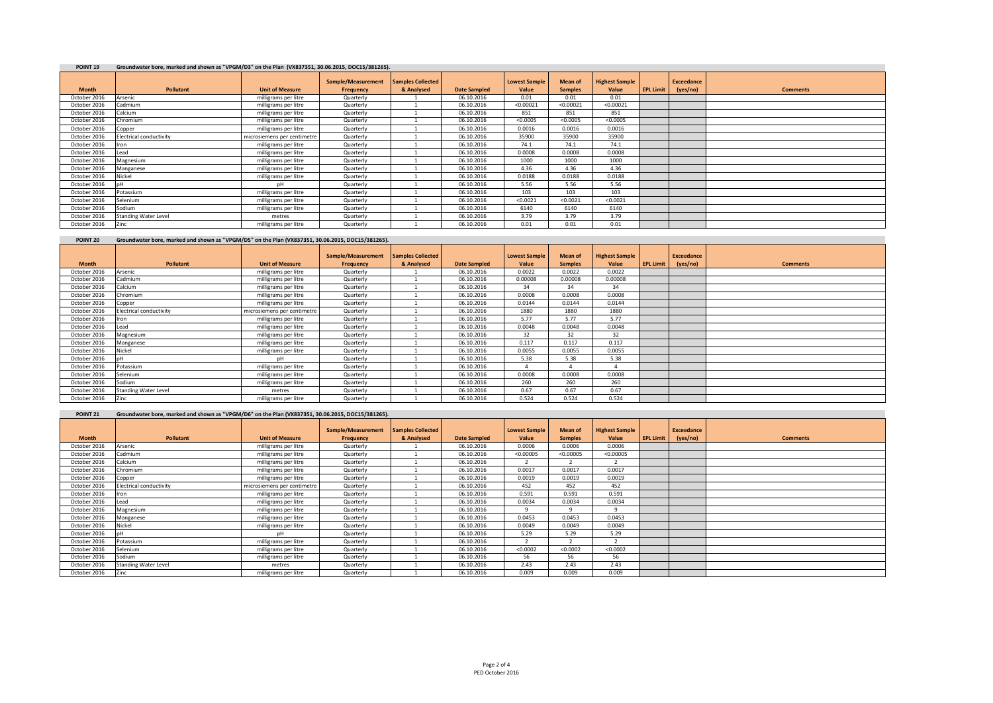### **POINT 19 Groundwater bore, marked and shown as "VPGM/D3" on the Plan (VX837351, 30.06.2015, DOC15/381265).**

| ------       |                             |                             |                                 |                                   |                     |                               |                           |                                |                  |                        |                 |
|--------------|-----------------------------|-----------------------------|---------------------------------|-----------------------------------|---------------------|-------------------------------|---------------------------|--------------------------------|------------------|------------------------|-----------------|
| <b>Month</b> | Pollutant                   | <b>Unit of Measure</b>      | Sample/Measurement<br>Frequency | Samples Collected  <br>& Analysed | <b>Date Sampled</b> | <b>Lowest Sample</b><br>Value | Mean of<br><b>Samples</b> | <b>Highest Sample</b><br>Value | <b>EPL Limit</b> | Exceedance<br>(yes/no) | <b>Comments</b> |
|              |                             |                             |                                 |                                   |                     |                               |                           |                                |                  |                        |                 |
| October 2016 | Arsenic                     | milligrams per litre        | Quarterly                       |                                   | 06.10.2016          | 0.01                          | 0.01                      | 0.01                           |                  |                        |                 |
| October 2016 | Cadmium                     | milligrams per litre        | Quarterly                       |                                   | 06.10.2016          | < 0.00021                     | < 0.00021                 | < 0.00021                      |                  |                        |                 |
| October 2016 | Calcium                     | milligrams per litre        | Quarterly                       |                                   | 06.10.2016          | 851                           | 851                       | 851                            |                  |                        |                 |
| October 2016 | Chromium                    | milligrams per litre        | Quarterly                       |                                   | 06.10.2016          | < 0.0005                      | < 0.0005                  | < 0.0005                       |                  |                        |                 |
| October 2016 | Copper                      | milligrams per litre        | Quarterly                       |                                   | 06.10.2016          | 0.0016                        | 0.0016                    | 0.0016                         |                  |                        |                 |
| October 2016 | Electrical conductivity     | microsiemens per centimetre | Quarterly                       |                                   | 06.10.2016          | 35900                         | 35900                     | 35900                          |                  |                        |                 |
| October 2016 | <b>ron</b>                  | milligrams per litre        | Quarterly                       |                                   | 06.10.2016          | 74.1                          | 74.1                      | 74.1                           |                  |                        |                 |
| October 2016 | ead                         | milligrams per litre        | Quarterly                       |                                   | 06.10.2016          | 0.0008                        | 0.0008                    | 0.0008                         |                  |                        |                 |
| October 2016 | Magnesium                   | milligrams per litre        | Quarterly                       |                                   | 06.10.2016          | 1000                          | 1000                      | 1000                           |                  |                        |                 |
| October 2016 | Manganese                   | milligrams per litre        | Quarterly                       |                                   | 06.10.2016          | 4.36                          | 4.36                      | 4.36                           |                  |                        |                 |
| October 2016 | Nickel                      | milligrams per litre        | Quarterly                       |                                   | 06.10.2016          | 0.0188                        | 0.0188                    | 0.0188                         |                  |                        |                 |
| October 2016 |                             | nH                          | Quarterly                       |                                   | 06.10.2016          | 5.56                          | 5.56                      | 5.56                           |                  |                        |                 |
| October 2016 | Potassium                   | milligrams per litre        | Quarterly                       |                                   | 06.10.2016          | 103                           | 103                       | 103                            |                  |                        |                 |
| October 2016 | Selenium                    | milligrams per litre        | Quarterly                       |                                   | 06.10.2016          | < 0.0021                      | < 0.0021                  | < 0.0021                       |                  |                        |                 |
| October 2016 | Sodium                      | milligrams per litre        | Quarterly                       |                                   | 06.10.2016          | 6140                          | 6140                      | 6140                           |                  |                        |                 |
| October 2016 | <b>Standing Water Level</b> | metres                      | Quarterly                       |                                   | 06.10.2016          | 3.79                          | 3.79                      | 3.79                           |                  |                        |                 |
| October 2016 | Zinc                        | milligrams per litre        | Quarterly                       |                                   | 06.10.2016          | 0.01                          | 0.01                      | 0.01                           |                  |                        |                 |

### **POINT 20 Groundwater bore, marked and shown as "VPGM/D5" on the Plan (VX837351, 30.06.2015, DOC15/381265).**

|              |                             |                             | Sample/Measurement | Samples Collected |                     | <b>Lowest Sample</b> | Mean of        | <b>Highest Sample</b> |                  | Exceedance |                 |
|--------------|-----------------------------|-----------------------------|--------------------|-------------------|---------------------|----------------------|----------------|-----------------------|------------------|------------|-----------------|
| <b>Month</b> | Pollutant                   | <b>Unit of Measure</b>      | Frequency          | & Analysed        | <b>Date Sampled</b> | Value                | <b>Samples</b> | Value                 | <b>EPL Limit</b> | (yes/no)   | <b>Comments</b> |
| October 2016 | Arsenic                     | milligrams per litre        | Quarterly          |                   | 06.10.2016          | 0.0022               | 0.0022         | 0.0022                |                  |            |                 |
| October 2016 | Cadmium                     | milligrams per litre        | Quarterly          |                   | 06.10.2016          | 0.00008              | 0.00008        | 0.00008               |                  |            |                 |
| October 2016 | Calcium                     | milligrams per litre        | Quarterly          |                   | 06.10.2016          | 34                   | 34             | 34                    |                  |            |                 |
| October 2016 | Chromium                    | milligrams per litre        | Quarterly          |                   | 06.10.2016          | 0.0008               | 0.0008         | 0.0008                |                  |            |                 |
| October 2016 | Copper                      | milligrams per litre        | Quarterly          |                   | 06.10.2016          | 0.0144               | 0.0144         | 0.0144                |                  |            |                 |
| October 2016 | Electrical conductivity     | microsiemens per centimetre | Quarterly          |                   | 06.10.2016          | 1880                 | 1880           | 1880                  |                  |            |                 |
| October 2016 | ron                         | milligrams per litre        | Quarterly          |                   | 06.10.2016          | 5.77                 | 5.77           | 5.77                  |                  |            |                 |
| October 2016 | ead                         | milligrams per litre        | Quarterly          |                   | 06.10.2016          | 0.0048               | 0.0048         | 0.0048                |                  |            |                 |
| October 2016 | Magnesium                   | milligrams per litre        | Quarterly          |                   | 06.10.2016          | 32                   | 32             | 32                    |                  |            |                 |
| October 2016 | Manganese                   | milligrams per litre        | Quarterly          |                   | 06.10.2016          | 0.117                | 0.117          | 0.117                 |                  |            |                 |
| October 2016 | Vickel                      | milligrams per litre        | Quarterly          |                   | 06.10.2016          | 0.0055               | 0.0055         | 0.0055                |                  |            |                 |
| October 2016 |                             | pН                          | Quarterly          |                   | 06.10.2016          | 5.38                 | 5.38           | 5.38                  |                  |            |                 |
| October 2016 | Potassium                   | milligrams per litre        | Quarterly          |                   | 06.10.2016          |                      |                |                       |                  |            |                 |
| October 2016 | Selenium                    | milligrams per litre        | Quarterly          |                   | 06.10.2016          | 0.0008               | 0.0008         | 0.0008                |                  |            |                 |
| October 2016 | Sodium                      | milligrams per litre        | Quarterly          |                   | 06.10.2016          | 260                  | 260            | 260                   |                  |            |                 |
| October 2016 | <b>Standing Water Level</b> | metres                      | Quarterly          |                   | 06.10.2016          | 0.67                 | 0.67           | 0.67                  |                  |            |                 |
| October 2016 | Zinc                        | milligrams per litre        | Quarterly          |                   | 06.10.2016          | 0.524                | 0.524          | 0.524                 |                  |            |                 |

#### **POINT 21 Groundwater bore, marked and shown as "VPGM/D6" on the Plan (VX837351, 30.06.2015, DOC15/381265).**

|              |                             |                             | Sample/Measurement | <b>Samples Collected</b> |                     | <b>Lowest Sample</b> | Mean of        | <b>Highest Sample</b> |           | <b>Exceedance</b> |                 |
|--------------|-----------------------------|-----------------------------|--------------------|--------------------------|---------------------|----------------------|----------------|-----------------------|-----------|-------------------|-----------------|
| <b>Month</b> | Pollutant                   | <b>Unit of Measure</b>      | Frequency          | & Analysed               | <b>Date Sampled</b> | Value                | <b>Samples</b> | Value                 | EPL Limit | (yes/no)          | <b>Comments</b> |
| October 2016 | Arsenic                     | milligrams per litre        | Quarterly          |                          | 06.10.2016          | 0.0006               | 0.0006         | 0.0006                |           |                   |                 |
| October 2016 | Cadmium                     | milligrams per litre        | Quarterly          |                          | 06.10.2016          | < 0.00005            | < 0.00005      | < 0.00005             |           |                   |                 |
| October 2016 | Calcium                     | milligrams per litre        | Quarterly          |                          | 06.10.2016          |                      |                |                       |           |                   |                 |
| October 2016 | Chromium                    | milligrams per litre        | Quarterly          |                          | 06.10.2016          | 0.0017               | 0.0017         | 0.0017                |           |                   |                 |
| October 2016 | Copper                      | milligrams per litre        | Quarterly          |                          | 06.10.2016          | 0.0019               | 0.0019         | 0.0019                |           |                   |                 |
| October 2016 | Electrical conductivity     | microsiemens per centimetre | Quarterly          |                          | 06.10.2016          | 452                  | 452            | 452                   |           |                   |                 |
| October 2016 | <b>Iron</b>                 | milligrams per litre        | Quarterly          |                          | 06.10.2016          | 0.591                | 0.591          | 0.591                 |           |                   |                 |
| October 2016 | ead                         | milligrams per litre        | Quarterly          |                          | 06.10.2016          | 0.0034               | 0.0034         | 0.0034                |           |                   |                 |
| October 2016 | Magnesium                   | milligrams per litre        | Quarterly          |                          | 06.10.2016          |                      |                |                       |           |                   |                 |
| October 2016 | Manganese                   | milligrams per litre        | Quarterly          |                          | 06.10.2016          | 0.0453               | 0.0453         | 0.0453                |           |                   |                 |
| October 2016 | Nickel                      | milligrams per litre        | Quarterly          |                          | 06.10.2016          | 0.0049               | 0.0049         | 0.0049                |           |                   |                 |
| October 2016 |                             | DH                          | Quarterly          |                          | 06.10.2016          | 5.29                 | 5.29           | 5.29                  |           |                   |                 |
| October 2016 | Potassium                   | milligrams per litre        | Quarterly          |                          | 06.10.2016          |                      |                |                       |           |                   |                 |
| October 2016 | Selenium                    | milligrams per litre        | Quarterly          |                          | 06.10.2016          | < 0.0002             | < 0.0002       | < 0.0002              |           |                   |                 |
| October 2016 | Sodium                      | milligrams per litre        | Quarterly          |                          | 06.10.2016          | 56                   | 56             | 56                    |           |                   |                 |
| October 2016 | <b>Standing Water Level</b> | metres                      | Quarterly          |                          | 06.10.2016          | 2.43                 | 2.43           | 2.43                  |           |                   |                 |
| October 2016 | Zinc                        | milligrams per litre        | Quarterly          |                          | 06.10.2016          | 0.009                | 0.009          | 0.009                 |           |                   |                 |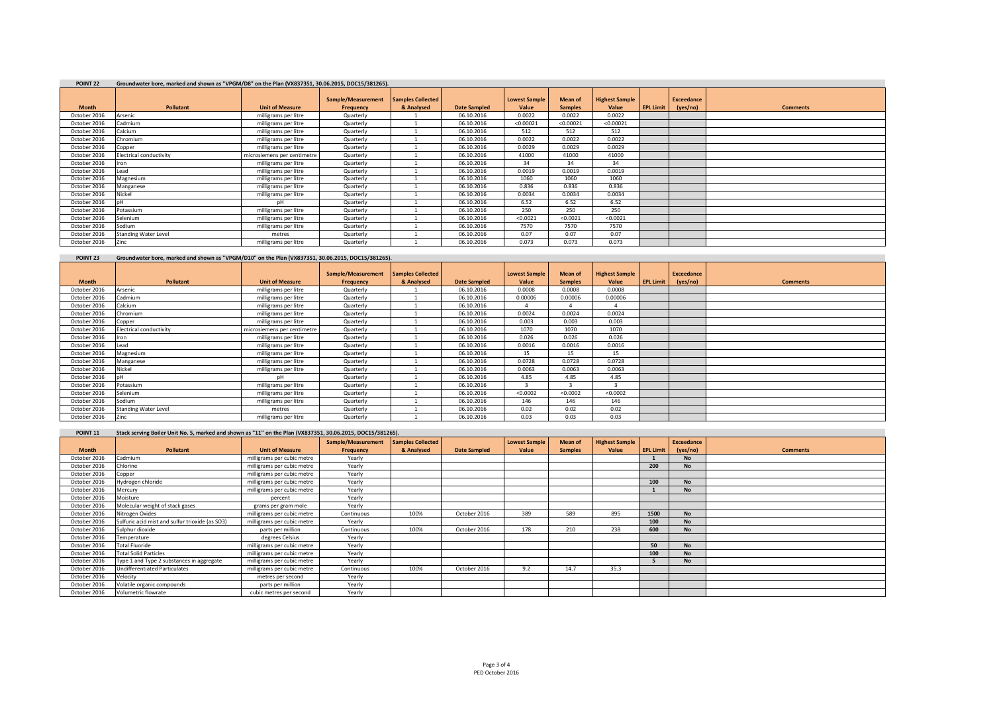| POINT <sub>22</sub> | Groundwater bore, marked and shown as "VPGM/D8" on the Plan (VX837351, 30.06.2015, DOC15/381265). |                             |                                 |                                 |                     |                               |                           |                                |                  |                        |                 |  |  |
|---------------------|---------------------------------------------------------------------------------------------------|-----------------------------|---------------------------------|---------------------------------|---------------------|-------------------------------|---------------------------|--------------------------------|------------------|------------------------|-----------------|--|--|
| <b>Month</b>        | Pollutant                                                                                         | <b>Unit of Measure</b>      | Sample/Measurement<br>Frequency | Samples Collected<br>& Analysed | <b>Date Sampled</b> | <b>Lowest Sample</b><br>Value | Mean of<br><b>Samples</b> | <b>Highest Sample</b><br>Value | <b>EPL Limit</b> | Exceedance<br>(yes/no) | <b>Comments</b> |  |  |
| October 2016        | Arsenic                                                                                           | milligrams per litre        | Quarterly                       |                                 | 06.10.2016          | 0.0022                        | 0.0022                    | 0.0022                         |                  |                        |                 |  |  |
| October 2016        | Cadmium                                                                                           | milligrams per litre        | Quarterly                       |                                 | 06.10.2016          | < 0.00021                     | < 0.00021                 | < 0.00021                      |                  |                        |                 |  |  |
| October 2016        | Calcium                                                                                           | milligrams per litre        | Quarterly                       |                                 | 06.10.2016          | 512                           | 512                       | 512                            |                  |                        |                 |  |  |
| October 2016        | Chromium                                                                                          | milligrams per litre        | Quarterly                       |                                 | 06.10.2016          | 0.0022                        | 0.0022                    | 0.0022                         |                  |                        |                 |  |  |
| October 2016        | Copper                                                                                            | milligrams per litre        | Quarterly                       |                                 | 06.10.2016          | 0.0029                        | 0.0029                    | 0.0029                         |                  |                        |                 |  |  |
| October 2016        | Electrical conductivity                                                                           | microsiemens per centimetre | Quarterly                       |                                 | 06.10.2016          | 41000                         | 41000                     | 41000                          |                  |                        |                 |  |  |
| October 2016        | Iron                                                                                              | milligrams per litre        | Quarterly                       |                                 | 06.10.2016          | 34                            | 34                        | 34                             |                  |                        |                 |  |  |
| October 2016        | Lead                                                                                              | milligrams per litre        | Quarterly                       |                                 | 06.10.2016          | 0.0019                        | 0.0019                    | 0.0019                         |                  |                        |                 |  |  |
| October 2016        | Magnesium                                                                                         | milligrams per litre        | Quarterly                       |                                 | 06.10.2016          | 1060                          | 1060                      | 1060                           |                  |                        |                 |  |  |
| October 2016        | Manganese                                                                                         | milligrams per litre        | Quarterly                       |                                 | 06.10.2016          | 0.836                         | 0.836                     | 0.836                          |                  |                        |                 |  |  |
| October 2016        | Nickel                                                                                            | milligrams per litre        | Quarterly                       |                                 | 06.10.2016          | 0.0034                        | 0.0034                    | 0.0034                         |                  |                        |                 |  |  |
| October 2016        | n <sub>H</sub>                                                                                    | nH                          | Quarterly                       |                                 | 06.10.2016          | 6.52                          | 6.52                      | 6.52                           |                  |                        |                 |  |  |
| October 2016        | Potassium                                                                                         | milligrams per litre        | Quarterly                       |                                 | 06.10.2016          | 250                           | 250                       | 250                            |                  |                        |                 |  |  |
| October 2016        | Selenium                                                                                          | milligrams per litre        | Quarterly                       |                                 | 06.10.2016          | < 0.0021                      | < 0.0021                  | < 0.0021                       |                  |                        |                 |  |  |
| October 2016        | Sodium                                                                                            | milligrams per litre        | Quarterly                       |                                 | 06.10.2016          | 7570                          | 7570                      | 7570                           |                  |                        |                 |  |  |
| October 2016        | <b>Standing Water Level</b>                                                                       | metres                      | Quarterly                       |                                 | 06.10.2016          | 0.07                          | 0.07                      | 0.07                           |                  |                        |                 |  |  |
| October 2016        | Zinc                                                                                              | milligrams per litre        | Quarterly                       |                                 | 06.10.2016          | 0.073                         | 0.073                     | 0.073                          |                  |                        |                 |  |  |

| POINT <sub>23</sub> | Groundwater bore, marked and shown as "VPGM/D10" on the Plan (VX837351, 30.06.2015, DOC15/381265). |                             |                    |                          |                     |                      |                |                       |                  |            |                 |
|---------------------|----------------------------------------------------------------------------------------------------|-----------------------------|--------------------|--------------------------|---------------------|----------------------|----------------|-----------------------|------------------|------------|-----------------|
|                     |                                                                                                    |                             | Sample/Measurement | <b>Samples Collected</b> |                     | <b>Lowest Sample</b> | <b>Mean of</b> | <b>Highest Sample</b> |                  | Exceedance |                 |
| <b>Month</b>        | Pollutant                                                                                          | <b>Unit of Measure</b>      | Frequency          | & Analysed               | <b>Date Sampled</b> | Value                | <b>Samples</b> | Value                 | <b>EPL Limit</b> | (yes/no)   | <b>Comments</b> |
| October 2016        | Arsenic                                                                                            | milligrams per litre        | Quarterly          |                          | 06.10.2016          | 0.0008               | 0.0008         | 0.0008                |                  |            |                 |
| October 2016        | Cadmium                                                                                            | milligrams per litre        | Quarterly          |                          | 06.10.2016          | 0.00006              | 0.00006        | 0.00006               |                  |            |                 |
| October 2016        | Calcium                                                                                            | milligrams per litre        | Quarterly          |                          | 06.10.2016          |                      |                |                       |                  |            |                 |
| October 2016        | Chromium                                                                                           | milligrams per litre        | Quarterly          |                          | 06.10.2016          | 0.0024               | 0.0024         | 0.0024                |                  |            |                 |
| October 2016        | Copper                                                                                             | milligrams per litre        | Quarterly          |                          | 06.10.2016          | 0.003                | 0.003          | 0.003                 |                  |            |                 |
| October 2016        | Electrical conductivity                                                                            | microsiemens per centimetre | Quarterly          |                          | 06.10.2016          | 1070                 | 1070           | 1070                  |                  |            |                 |
| October 2016        | Iron                                                                                               | milligrams per litre        | Quarterly          |                          | 06.10.2016          | 0.026                | 0.026          | 0.026                 |                  |            |                 |
| October 2016        | Lead                                                                                               | milligrams per litre        | Quarterly          |                          | 06.10.2016          | 0.0016               | 0.0016         | 0.0016                |                  |            |                 |
| October 2016        | Magnesium                                                                                          | milligrams per litre        | Quarterly          |                          | 06.10.2016          | 15                   | 15             | 15                    |                  |            |                 |
| October 2016        | Manganese                                                                                          | milligrams per litre        | Quarterly          |                          | 06.10.2016          | 0.0728               | 0.0728         | 0.0728                |                  |            |                 |
| October 2016        | Nickel                                                                                             | milligrams per litre        | Quarterly          |                          | 06.10.2016          | 0.0063               | 0.0063         | 0.0063                |                  |            |                 |
| October 2016        |                                                                                                    | nН                          | Quarterly          |                          | 06.10.2016          | 4.85                 | 4.85           | 4.85                  |                  |            |                 |
| October 2016        | Potassium                                                                                          | milligrams per litre        | Quarterly          |                          | 06.10.2016          |                      |                |                       |                  |            |                 |
| October 2016        | Selenium                                                                                           | milligrams per litre        | Quarterly          |                          | 06.10.2016          | < 0.0002             | < 0.0002       | < 0.0002              |                  |            |                 |
| October 2016        | Sodium                                                                                             | milligrams per litre        | Quarterly          |                          | 06.10.2016          | 146                  | 146            | 146                   |                  |            |                 |
| October 2016        | <b>Standing Water Level</b>                                                                        | metres                      | Quarterly          |                          | 06.10.2016          | 0.02                 | 0.02           | 0.02                  |                  |            |                 |
| October 2016        | Zinc                                                                                               | milligrams per litre        | Quarterly          |                          | 06.10.2016          | 0.03                 | 0.03           | 0.03                  |                  |            |                 |

| Stack serving Boiler Unit No. 5, marked and shown as "11" on the Plan (VX837351, 30.06.2015, DOC15/381265).<br>POINT <sub>11</sub> |                                                 |                            |                    |                          |                     |                      |                |                       |                  |            |                 |
|------------------------------------------------------------------------------------------------------------------------------------|-------------------------------------------------|----------------------------|--------------------|--------------------------|---------------------|----------------------|----------------|-----------------------|------------------|------------|-----------------|
|                                                                                                                                    |                                                 |                            | Sample/Measurement | <b>Samples Collected</b> |                     | <b>Lowest Sample</b> | <b>Mean of</b> | <b>Highest Sample</b> |                  | Exceedance |                 |
| <b>Month</b>                                                                                                                       | Pollutant                                       | <b>Unit of Measure</b>     | Frequency          | & Analysed               | <b>Date Sampled</b> | Value                | <b>Samples</b> | Value                 | <b>EPL Limit</b> | (yes/no)   | <b>Comments</b> |
| October 2016                                                                                                                       | Cadmium                                         | milligrams per cubic metre | Yearly             |                          |                     |                      |                |                       |                  | <b>No</b>  |                 |
| October 2016                                                                                                                       | Chlorine                                        | milligrams per cubic metre | Yearly             |                          |                     |                      |                |                       | 200              | <b>No</b>  |                 |
| October 2016                                                                                                                       | Copper                                          | milligrams per cubic metre | Yearly             |                          |                     |                      |                |                       |                  |            |                 |
| October 2016                                                                                                                       | Hydrogen chloride                               | milligrams per cubic metre | Yearly             |                          |                     |                      |                |                       | 100              | <b>No</b>  |                 |
| October 2016                                                                                                                       | Mercury                                         | milligrams per cubic metre | Yearly             |                          |                     |                      |                |                       |                  | <b>No</b>  |                 |
| October 2016                                                                                                                       | Moisture                                        | percent                    | Yearly             |                          |                     |                      |                |                       |                  |            |                 |
| October 2016                                                                                                                       | Molecular weight of stack gases                 | grams per gram mole        | Yearly             |                          |                     |                      |                |                       |                  |            |                 |
| October 2016                                                                                                                       | Nitrogen Oxides                                 | milligrams per cubic metre | Continuous         | 100%                     | October 2016        | 389                  | 589            | 895                   | 1500             | <b>No</b>  |                 |
| October 2016                                                                                                                       | Sulfuric acid mist and sulfur trioxide (as SO3) | milligrams per cubic metre | Yearly             |                          |                     |                      |                |                       | 100              | <b>No</b>  |                 |
| October 2016                                                                                                                       | Sulphur dioxide                                 | parts per million          | Continuous         | 100%                     | October 2016        | 178                  | 210            | 238                   | 600              | <b>No</b>  |                 |
| October 2016                                                                                                                       | Temperature                                     | degrees Celsius            | Yearly             |                          |                     |                      |                |                       |                  |            |                 |
| October 2016                                                                                                                       | <b>Total Fluoride</b>                           | milligrams per cubic metre | Yearly             |                          |                     |                      |                |                       | 50               | <b>No</b>  |                 |
| October 2016                                                                                                                       | <b>Total Solid Particles</b>                    | milligrams per cubic metre | Yearly             |                          |                     |                      |                |                       | 100              | <b>No</b>  |                 |
| October 2016                                                                                                                       | Type 1 and Type 2 substances in aggregate       | milligrams per cubic metre | Yearly             |                          |                     |                      |                |                       |                  | <b>No</b>  |                 |
| October 2016                                                                                                                       | <b>Jndifferentiated Particulates</b>            | milligrams per cubic metre | Continuous         | 100%                     | October 2016        | 9.2                  | 14.7           | 35.3                  |                  |            |                 |
| October 2016                                                                                                                       | Velocity                                        | metres per second          | Yearly             |                          |                     |                      |                |                       |                  |            |                 |
| October 2016                                                                                                                       | Volatile organic compounds                      | parts per million          | Yearly             |                          |                     |                      |                |                       |                  |            |                 |
| October 2016                                                                                                                       | Volumetric flowrate                             | cubic metres per second    | Yearly             |                          |                     |                      |                |                       |                  |            |                 |